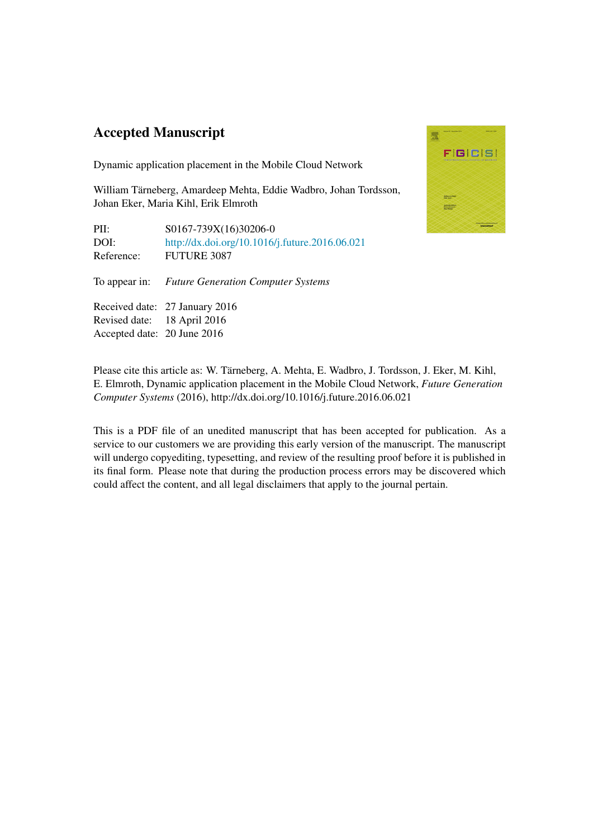## Accepted Manuscript

Dynamic application placement in the Mobile Cloud Network

William Tärneberg, Amardeep Mehta, Eddie Wadbro, Johan Tordsson, Johan Eker, Maria Kihl, Erik Elmroth

PII:  $S0167-739X(16)30206-0$ DOI: <http://dx.doi.org/10.1016/j.future.2016.06.021> Reference: FUTURE 3087

To appear in: *Future Generation Computer Systems*

Received date: 27 January 2016 Revised date: 18 April 2016 Accepted date: 20 June 2016



Please cite this article as: W. Tarneberg, A. Mehta, E. Wadbro, J. Tordsson, J. Eker, M. Kihl, ¨ E. Elmroth, Dynamic application placement in the Mobile Cloud Network, *Future Generation Computer Systems* (2016), http://dx.doi.org/10.1016/j.future.2016.06.021

This is a PDF file of an unedited manuscript that has been accepted for publication. As a service to our customers we are providing this early version of the manuscript. The manuscript will undergo copyediting, typesetting, and review of the resulting proof before it is published in its final form. Please note that during the production process errors may be discovered which could affect the content, and all legal disclaimers that apply to the journal pertain.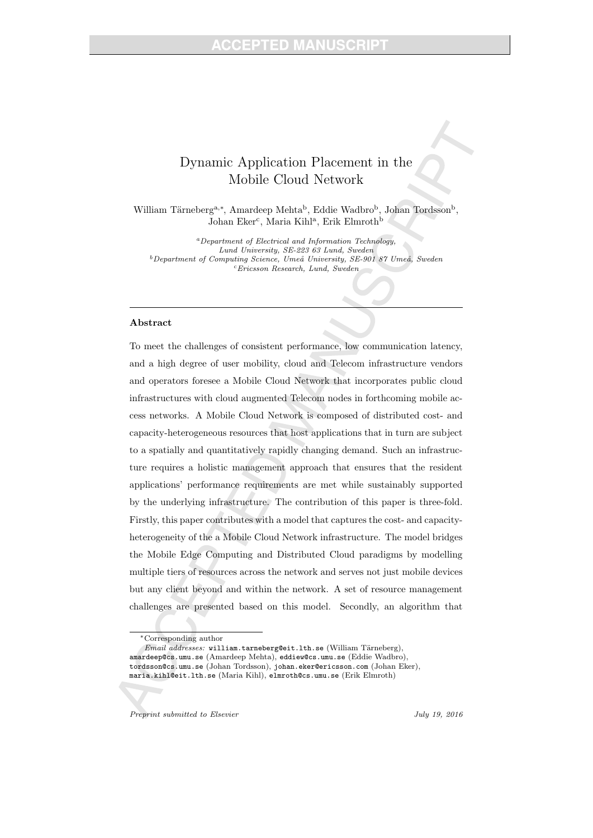## Dynamic Application Placement in the Mobile Cloud Network

William Tärneberg<sup>a,\*</sup>, Amardeep Mehta<sup>b</sup>, Eddie Wadbro<sup>b</sup>, Johan Tordsson<sup>b</sup>, Johan Eker<sup>c</sup>, Maria Kihl<sup>a</sup>, Erik Elmroth<sup>b</sup>

<sup>a</sup>Department of Electrical and Information Technology, Lund University, SE-223 63 Lund, Sweden  $b$ Department of Computing Science, Umeå University, SE-901 87 Umeå, Sweden  $c$ Ericsson Research, Lund, Sweden

## Abstract

To meet the challenges of consistent performance, low communication latency, and a high degree of user mobility, cloud and Telecom infrastructure vendors and operators foresee a Mobile Cloud Network that incorporates public cloud infrastructures with cloud augmented Telecom nodes in forthcoming mobile access networks. A Mobile Cloud Network is composed of distributed cost- and capacity-heterogeneous resources that host applications that in turn are subject to a spatially and quantitatively rapidly changing demand. Such an infrastructure requires a holistic management approach that ensures that the resident applications' performance requirements are met while sustainably supported by the underlying infrastructure. The contribution of this paper is three-fold. Firstly, this paper contributes with a model that captures the cost- and capacityheterogeneity of the a Mobile Cloud Network infrastructure. The model bridges the Mobile Edge Computing and Distributed Cloud paradigms by modelling multiple tiers of resources across the network and serves not just mobile devices but any client beyond and within the network. A set of resource management challenges are presented based on this model. Secondly, an algorithm that

Preprint submitted to Elsevier Theorem 19, 2016

<sup>∗</sup>Corresponding author

Email addresses: william.tarneberg@eit.lth.se (William Tärneberg), amardeep@cs.umu.se (Amardeep Mehta), eddiew@cs.umu.se (Eddie Wadbro), tordsson@cs.umu.se (Johan Tordsson), johan.eker@ericsson.com (Johan Eker), maria.kihl@eit.lth.se (Maria Kihl), elmroth@cs.umu.se (Erik Elmroth)